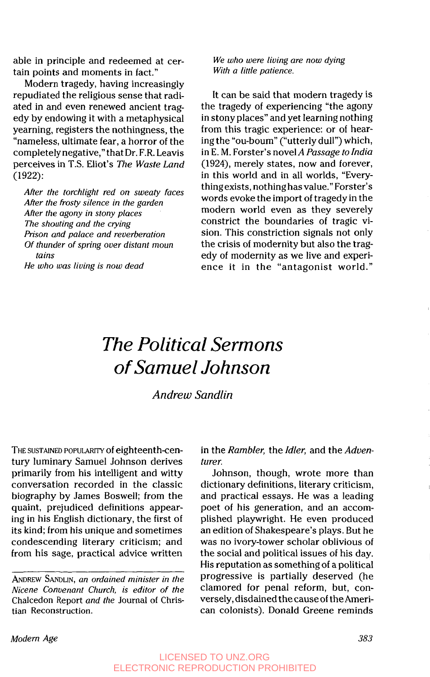able in principle and redeemed at certain points and moments in fact."

Modern tragedy, having increasingly repudiated the religious sense that radiated in and even renewed ancient tragedy by endowing it with a metaphysical yearning, registers the nothingness, the "nameless, ultimate fear, a horror of the completelynegative," that Dr. F.R. Leavis perceives in T.S. Eliot's *The Waste Land*  **(1** 922):

*After the torchlight red on sweaty faces After the frosty silence in the garden AFter the agony in stony places The shouting and the crying Prison and palace and reverberation Of thunder of spring over distant moun tains* 

*He who was living is now dead* 

*We who were living are now dying With a little patience.* 

It can be said that modern tragedy is the tragedy of experiencing "the agony in stony places" and yet learning nothing from this tragic experience: or of hearing the "ou-boum" ("utterly dull") which, in E. M. Forster's novelA *Passage to India*  **(1924),** merely states, now and forever, in this world and in all worlds, "Everything exists, nothing has value." Forster's words evoke the import of tragedy in the modern world even as they severely constrict the boundaries of tragic vision. This constriction signals not only the crisis of modernity but also the tragedy of modernity as we live and experience it in the "antagonist world."

## *The Political Sermons of Samuel Johnson*

*Andrew Sandlin* 

THE SUSTAINED POPULARITY of eighteenth-century luminary Samuel Johnson derives primarily from his intelligent and witty conversation recorded in the classic biography by James Boswell; from the quaint, prejudiced definitions appearing in his English dictionary, the first of its kind; from his unique and sometimes condescending literary criticism; and from his sage, practical advice written

ANDREW SANDLIN, *an ordained minister in the Nicene Convenant Church, is editor of the*  Chalcedon Report *and the* Journal **of** Christian Reconstruction.

in the *Rambler,* the *Idler,* and the *Aduenturer.* 

Johnson, though, wrote more than dictionary definitions, literary criticism, and practical essays. He was a leading poet of his generation, and an accomplished playwright. He even produced an edition **of** Shakespeare's plays. But he was no ivory-tower scholar oblivious of the social and political issues of his day. His reputation as something of a political progressive is partially deserved (he clamored for penal reform, but, conversely, disdained the cause **of** the American colonists). Donald Greene reminds

*Modern Age 383* 

LICENSED TO UNZ.ORG ELECTRONIC REPRODUCTION PROHIBITED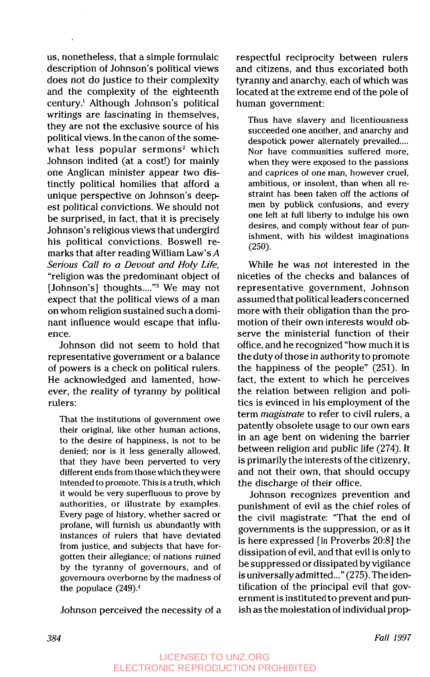us, nonetheless, that a simple formulaic description of Johnson's political views does not do justice to their complexity and the complexity of the eighteenth century.' Although Johnson's political writings are fascinating in themselves, they are not the exclusive source of his political views. In the canon of the somewhat less popular sermons<sup>2</sup> which Johnson indited (at a cost!) for mainly one Anglican minister appear two distinctly political homilies that afford a unique perspective on Johnson's deepest political convictions. We should not be surprised, in fact, that it is precisely Johnson's religious views that undergird his political convictions. Boswell remarks that after reading William Law's *A Serious Call to a Devout and Holy Life,*  "religion was the predominant object **of**  [Johnson's] thoughts...."<sup>3</sup> We may not expect that the political views of a man on whom religion sustained such a dominant influence would escape that influence.

Johnson did not seem to hold that representative government or a balance of powers is a check on political rulers. He acknowledged and lamented, however, the reality of tyranny by political rulers:

That the institutions of government owe their original, like other human actions, to the desire of happiness, is not to be denied; nor is it less generally allowed, that they have been perverted to very different ends from those which theywere intended to promote. This is a truth, which it would be very superfluous to prove by authorities, or illustrate by examples. Every page of history, whether sacred or profane, will furnish us abundantly with instances of rulers that have deviated from justice, and subjects that have forgotten their allegiance; of nations ruined by the tyranny of governours, and of governours overborne by the madness of the populace  $(249)^4$ 

Johnson perceived the necessity of a

respectful reciprocity between rulers and citizens, and thus excoriated both tyranny and anarchy, each of which was located at the extreme end of the pole of human government:

Thus have slavery and licentiousness succeeded one another, and anarchy and despotick power alternately prevailed.... Nor have communities suffered more, when they were exposed to the passions and caprices of one man, however cruel, ambitious, or insolent, than when all restraint has been taken off the actions of men by publick confusions, and every one left at full liberty to indulge his own desires, and comply without fear of punishment, with his wildest imaginations **(250).** 

While he was not interested in the niceties **of** the checks and balances of representative government, Johnson assumed that political leaders concerned more with their obligation than the promotion of their own interests would observe the ministerial function of their office, and he recognized "how much it is the duty of those in authority to promote the happiness of the people" (251). In fact, the extent to which he perceives the relation between religion and politics is evinced in his employment **of** the term *magistrate* to refer to civil rulers, a patently obsolete usage to our own ears in an age bent on widening the barrier between religion and public life (274). It is primarily the interests of the citizenry, and not their own, that should occupy the discharge of their office.

Johnson recognizes prevention and punishment of evil as the chief roles of the civil magistrate: "That the end **of**  governments is the suppression, or as it is here expressed [in Proverbs **20:8]** the dissipation of evil, and that evil is only to be suppressed or dissipated by vigilance is universally admitted..." (275). The identification of the principal evil that government is instituted to prevent and punish as the molestation of individual prop-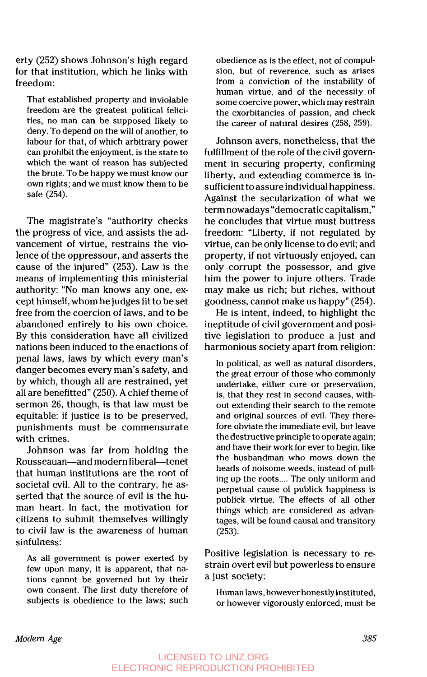erty **(252)** shows Johnson's high regard for that institution, which he links with freedom:

That established property and inviolable freedom are the greatest political felicities, no man can be supposed likely to deny. To depend on the will of another, to labour for that, of which arbitrary power can prohibit the enjoyment, is the state to which the want of reason has subjected the brute. To be happy we must know our own rights; and we must know them to be safe **(254).** 

The magistrate's "authority checks the progress of vice, and assists the advancement of virtue, restrains the violence of the oppressour, and asserts the cause of the injured" **(253).** Law is the means of implementing this ministerial authority: "No man knows any one, except himself, whom he judges fit to be set free from the coercion of laws, and to be abandoned entirely to his own choice. By this consideration have all civilized nations been induced to the enactions of penal laws, laws by which every man's danger becomes every man's safety, and by which, though all are restrained, yet all are benefitted" **(250).** A chief theme of sermon **26,** though, is that law must be equitable: if justice is to be preserved, punishments must be commensurate with crimes.

Johnson was far from holding the Rousseauan-and modern liberal-tenet that human institutions are the root of societal evil. All to the contrary, he asserted that the source of evil is the human heart. In fact, the motivation for citizens to submit themselves willingly to civil law is the awareness of human sinfulness:

*As* all government is power exerted by few upon many, it is apparent, that nations cannot be governed but by their own consent. The first duty therefore of subjects is obedience to the laws; such obedience as is the effect, not of compulsion, but of reverence, such as arises from a conviction of the instability of human virtue, and **of** the necessity of some coercive power, which may restrain the exorbitancies of passion, and check the career of natural desires **(258, 259).** 

Johnson avers, nonetheless, that the fulfillment of the role of the civil government in securing property, confirming liberty, and extending commerce is insufficient to assure individual happiness. Against the secularization of what we term nowadays "democratic capitalism," he concludes that virtue must buttress freedom: "Liberty, if not regulated by virtue, can be only license to do evil; and property, if not virtuously enjoyed, can only corrupt the possessor, and give him the power to injure others. Trade may make us rich; but riches, without goodness, cannot make us happy" (254).

He is intent, indeed, to highlight the ineptitude of civil government and positive legislation to produce a just and harmonious society apart from religion:

In political, as well as natural disorders, the great errour of those who commonly undertake, either cure or preservation, is, that they rest in second causes, without extending their search to the remote and original sources of evil. They therefore obviate the immediate evil, but leave the destructive principle to operate again; and have their work for ever to begin, like the husbandman who mows down the heads of noisome weeds, instead of pulling **up** the roots .... The only uniform and perpetual cause of publick happiness **is**  publick virtue. The effects of all other things which are considered as advantages, will be found causal and transitory **(253).** 

Positive legislation is necessary to restrain overt evil but powerless to ensure a just society:

Human laws, however honestly instituted, or however vigorously enforced, must be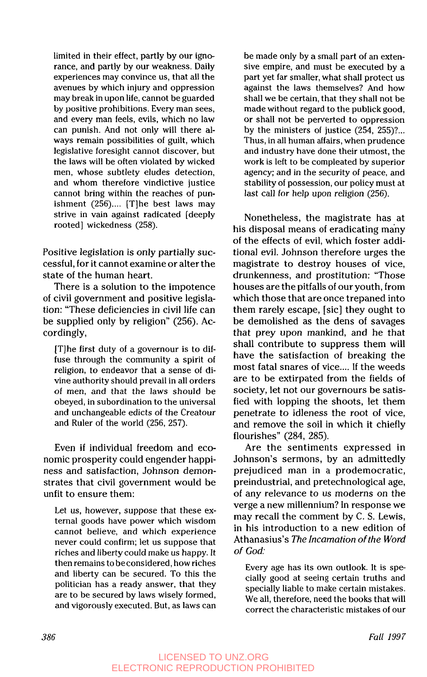limited in their effect, partly by our ignorance, and partly by our weakness. Daily experiences may convince us, that all the avenues by which injury and oppression may break in upon life, cannot be guarded by positive prohibitions. Every man sees, and every man feels, evils, which no law can punish. And not only will there always remain possibilities of guilt, which legislative foresight cannot discover, but the laws will be often violated by wicked men, whose subtlety eludes detection, and whom therefore vindictive justice cannot bring within the reaches of punishment (256).... [T]he best laws may strive in vain against radicated [deeply rooted] wickedness (258).

Positive legislation is only partially successful, for it cannot examine or alter the state of the human heart.

There is a solution to the impotence of civil government and positive legislation: "These deficiencies in civil life can be supplied only by religion" (256). Accordingly,

[Tlhe first duty of a governour is to diffuse through the community a spirit of religion, to endeavor that a sense of divine authority should prevail in all orders of men, and that the laws should be obeyed, in subordination to the universal and unchangeable edicts of the Creatour and Ruler of the world (256, 257).

Even if individual freedom and economic prosperity could engender happiness and satisfaction, Johnson demonstrates that civil government would be unfit to ensure them:

Let us, however, suppose that these external goods have power which wisdom cannot believe, and which experience never could confirm; let us suppose that riches and libertycould make us happy. It then remains to beconsidered, how riches and liberty can be secured. To this the politician has a ready answer, that they are to be secured by laws wisely formed, and vigorously executed. But, as laws can be made only by a small part of an extensive empire, and must be executed by a part yet far smaller, what shall protect us against the laws themselves? And how shall we be certain, that they shall not be made without regard to the publick good, or shall not be perverted to oppression by the ministers of justice (254, 255)?... Thus, in all human affairs, when prudence and industry have done their utmost, the work is left to be compleated by superior agency; and in the security of peace, and stability of possession, our policy must at last call for help upon religion (256).

Nonetheless, the magistrate has at his disposal means of eradicating many of the effects of evil, which foster additional evil. Johnson therefore urges the magistrate to destroy houses of vice, drunkenness, and prostitution: "Those houses are the pitfalls of our youth, from which those that are once trepaned into them rarely escape, [sic] they ought to be demolished as the dens of savages that prey upon mankind, and he that shall contribute to suppress them will have the satisfaction of breaking the most fatal snares of vice.... If the weeds are to be extirpated from the fields of society, let not our governours be satisfied with lopping the shoots, let them penetrate to idleness the root of vice, and remove the soil in which it chiefly flourishes" (284, 285).

Are the sentiments expressed in Johnson's sermons, by an admittedly prejudiced man in a prodemocratic, preindustrial, and pretechnological age, of any relevance to us moderns on the verge a new millennium? In response we may recall the comment by C. **S.** Lewis, in his introduction to a new edition of Athanasius's *The Incarnation of the Word of God:* 

Every age has its own outlook. It is specially good at seeing certain truths and specially liable to make certain mistakes. We all, therefore, need the books that will correct the characteristic mistakes of our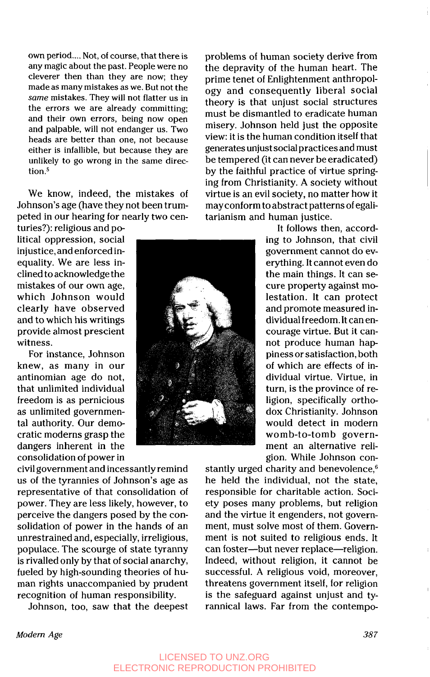own period .... Not, **of** course, that there is any magic about the past. People were no cleverer then than they are now; they made as many mistakes as we. But not the *same* mistakes. They will not flatter us in the errors we are already committing; and their own errors, being now open and palpable, will not endanger us. Two heads are better than one, not because either is infallible, but because they are unlikely to go wrong in the same direction.<sup>5</sup>

We know, indeed, the mistakes of Johnson's age (have they not been trumpeted in our hearing for nearly two cen-

turies?): religious and political oppression, social injustice, and enforced inequality. We are less inclined toacknowledge the mistakes of our own age, which Johnson would clearly have observed and to which his writings provide almost prescient witness.

For instance, Johnson knew, as many in our antinomian age do not, that unlimited individual freedom is as pernicious as unlimited governmental authority. Our democratic moderns grasp the dangers inherent in the consolidation of power in

civil government and incessantlyremind us of the tyrannies of Johnson's age as representative of that consolidation of power. They are less likely, however, to perceive the dangers posed by the consolidation of power in the hands of an unrestrained and, especially, irreligious, populace. The scourge **of** state tyranny is rivalled only by that of social anarchy, fueled by high-sounding theories of human rights unaccompanied by prudent recognition of human responsibility.

Johnson, too, saw that the deepest

problems of human society derive from the depravity of the human heart. The prime tenet of Enlightenment anthropology and consequently liberal social theory is that unjust social structures must be dismantled to eradicate human misery. Johnson held just the opposite view: it is the human condition itself that generates unjust social practices and must be tempered (it can never be eradicated) by the faithful practice of virtue springing from Christianity. **A** society without virtue is an evil society, no matter how it may conform toabstract patterns of egalitarianism and human justice.

> It follows then, according to Johnson, that civil government cannot do everything. It cannot even do the main things. It can *se*cure property against molestation. lt can protect and promote measured individual freedom. It can encourage virtue. But it cannot produce human happiness or satisfaction, both of which are effects of individual virtue. Virtue, in turn, is the province of religion, specifically orthodox Christianity. Johnson would detect in modern womb-to-tomb government an alternative religion. While Johnson con-

stantly urged charity and benevolence,<sup>6</sup> he held the individual, not the state, responsible for charitable action. Society poses many problems, but religion and the virtue it engenders, not government, must solve most of them. Government is not suited to religious ends. It can foster--but never replace-religion. Indeed, without religion, it cannot be successful. **A** religious void, moreover, threatens government itself, for religion is the safeguard against unjust and tyrannical laws. Far from the contempo-



## LICENSED TO UNZ.ORG ELECTRONIC REPRODUCTION PROHIBITED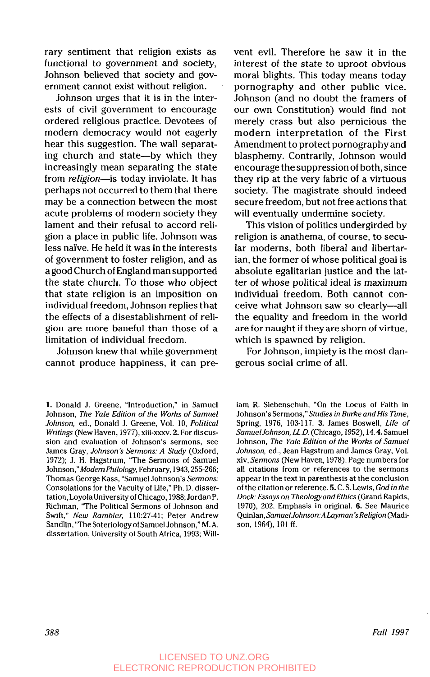rary sentiment that religion exists as functional to government and society, Johnson believed that society and government cannot exist without religion.

Johnson urges that it is in the interests of civil government to encourage ordered religious practice. Devotees of modern democracy would not eagerly hear this suggestion. The wall separating church and state-by which they increasingly mean separating the state from religion-is today inviolate. It has perhaps not occurred to them that there may be a connection between the most acute problems of modern society they lament and their refusal to accord religion a place in public life. Johnson was less naïve. He held it was in the interests of government to foster religion, and as agood Church of England man supported the state church. To those who object that state religion is an imposition on individual freedom, Johnson replies that the effects of a disestablishment of religion are more baneful than those of a limitation of individual freedom.

Johnson knew that while government cannot produce happiness, it can prevent evil. Therefore he saw it in the interest of the state to uproot obvious moral blights. This today means today pornography and other public vice. Johnson (and no doubt the framers of our own Constitution) would find not merely crass but also pernicious the modern interpretation of the First Amendment to protect pornography and blasphemy. Contrarily, Johnson would encourage the suppression of both, since they rip at the very fabric of a virtuous society. The magistrate should indeed secure freedom, but not free actions that will eventually undermine society.

This vision of politics undergirded by religion is anathema, of course, to secular moderns, both liberal and libertarian, the former of whose political goal is absolute egalitarian justice and the latter of whose political ideal is maximum individual freedom. Both cannot conceive what Johnson saw so clearly-all the equality and freedom in the world are for naught if they are shorn of virtue, which is spawned by religion.

For Johnson, impiety is the most dangerous social crime of all.

**<sup>1.</sup>** Donald J. Greene, "Introduction," in Samuel Johnson, The Yale Edition of the Works of Samuel Johnson, ed., Donald J. Greene, Vol. 10, Political Writings (New Haven, 1979, xiii-xxxv. **2.** For discussion and evaluation of Johnson's sermons, see James Gray, Johnson's Sermons: A Study (Oxford, 1972); J. H. Hagstrum, "The Sermons of Samuel Johnson,"Modem Philology, February, 1943,255-266; Thomas George Kass, "Samuel Johnson's Sermons: Consolations for the Vacuity of Life," Ph. D. dissertation, Lovola University of Chicago, 1988; Jordan P. Richrnan, "The Political Sermons of Johnson and Swift," New Rambler, 110:27-41; Peter Andrew Sandlin, "The Soteriology of Samuel Johnson," M. **A.**  dissertation, University of South Africa, 1993; Will-

iam R. Siebenschuh, "On the Locus of Faith in Johnson's Sermons,"Studies in Burke and *His* Time, Spring, 1976, 103-117. **3.** James Boswell, Life of Samuel Johnson, LL.D. (Chicago, 1952), 14.4. Samuel Johnson, The Yale Edition of the Works of Samuel Johnson, ed., Jean Hagstrum and James Gray, Vol. xiv, Sermons (New Haven, 1978). Page numbers for all citations from or references to the sermons appear in the text in parenthesis at the conclusion of the citation or reference. *5.* C. S. Lewis, God in the Dock: Essays on Theology and Ethics (Grand Rapids, 1970), 202. Emphasis in original. **6.** See Maurice Quinlan, Samuel Johnson: A Layman's Religion (Madison, 1964), 101 ff.